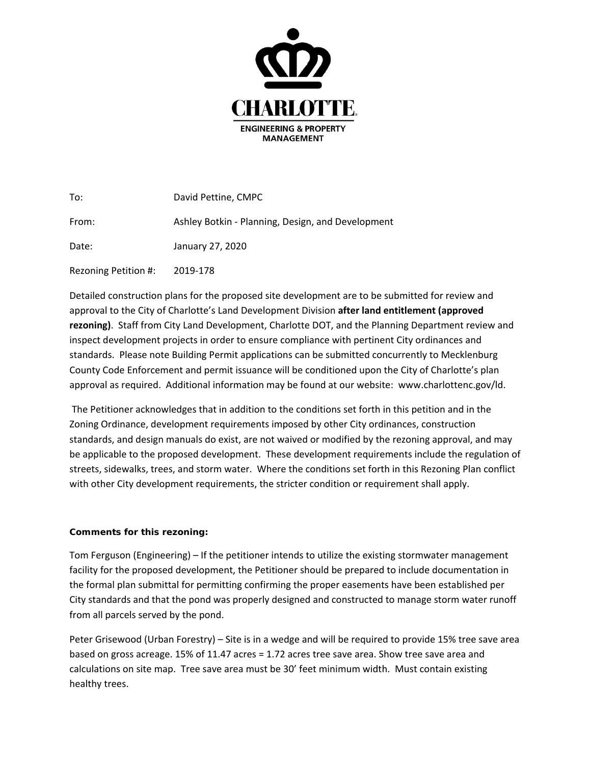

| To:                  | David Pettine, CMPC                               |
|----------------------|---------------------------------------------------|
| From:                | Ashley Botkin - Planning, Design, and Development |
| Date:                | January 27, 2020                                  |
| Rezoning Petition #: | 2019-178                                          |

Detailed construction plans for the proposed site development are to be submitted for review and approval to the City of Charlotte's Land Development Division **after land entitlement (approved rezoning)**. Staff from City Land Development, Charlotte DOT, and the Planning Department review and inspect development projects in order to ensure compliance with pertinent City ordinances and standards. Please note Building Permit applications can be submitted concurrently to Mecklenburg County Code Enforcement and permit issuance will be conditioned upon the City of Charlotte's plan approval as required. Additional information may be found at our website: www.charlottenc.gov/ld.

The Petitioner acknowledges that in addition to the conditions set forth in this petition and in the Zoning Ordinance, development requirements imposed by other City ordinances, construction standards, and design manuals do exist, are not waived or modified by the rezoning approval, and may be applicable to the proposed development. These development requirements include the regulation of streets, sidewalks, trees, and storm water. Where the conditions set forth in this Rezoning Plan conflict with other City development requirements, the stricter condition or requirement shall apply.

## **Comments for this rezoning:**

Tom Ferguson (Engineering) – If the petitioner intends to utilize the existing stormwater management facility for the proposed development, the Petitioner should be prepared to include documentation in the formal plan submittal for permitting confirming the proper easements have been established per City standards and that the pond was properly designed and constructed to manage storm water runoff from all parcels served by the pond.

Peter Grisewood (Urban Forestry) – Site is in a wedge and will be required to provide 15% tree save area based on gross acreage. 15% of 11.47 acres = 1.72 acres tree save area. Show tree save area and calculations on site map. Tree save area must be 30' feet minimum width. Must contain existing healthy trees.